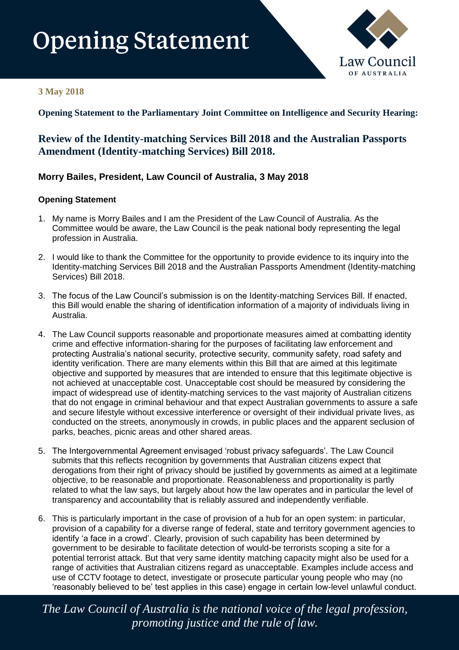# **Opening Statement**



### **3 May 2018**

**Opening Statement to the Parliamentary Joint Committee on Intelligence and Security Hearing:**

## **Review of the Identity-matching Services Bill 2018 and the Australian Passports Amendment (Identity-matching Services) Bill 2018.**

## **Morry Bailes, President, Law Council of Australia, 3 May 2018**

#### **Opening Statement**

- 1. My name is Morry Bailes and I am the President of the Law Council of Australia. As the Committee would be aware, the Law Council is the peak national body representing the legal profession in Australia.
- 2. I would like to thank the Committee for the opportunity to provide evidence to its inquiry into the Identity-matching Services Bill 2018 and the Australian Passports Amendment (Identity-matching Services) Bill 2018.
- 3. The focus of the Law Council's submission is on the Identity-matching Services Bill. If enacted, this Bill would enable the sharing of identification information of a majority of individuals living in Australia.
- 4. The Law Council supports reasonable and proportionate measures aimed at combatting identity crime and effective information-sharing for the purposes of facilitating law enforcement and protecting Australia's national security, protective security, community safety, road safety and identity verification. There are many elements within this Bill that are aimed at this legitimate objective and supported by measures that are intended to ensure that this legitimate objective is not achieved at unacceptable cost. Unacceptable cost should be measured by considering the impact of widespread use of identity-matching services to the vast majority of Australian citizens that do not engage in criminal behaviour and that expect Australian governments to assure a safe and secure lifestyle without excessive interference or oversight of their individual private lives, as conducted on the streets, anonymously in crowds, in public places and the apparent seclusion of parks, beaches, picnic areas and other shared areas.
- 5. The Intergovernmental Agreement envisaged 'robust privacy safeguards'. The Law Council submits that this reflects recognition by governments that Australian citizens expect that derogations from their right of privacy should be justified by governments as aimed at a legitimate objective, to be reasonable and proportionate. Reasonableness and proportionality is partly related to what the law says, but largely about how the law operates and in particular the level of transparency and accountability that is reliably assured and independently verifiable.
- 6. This is particularly important in the case of provision of a hub for an open system: in particular, provision of a capability for a diverse range of federal, state and territory government agencies to identify 'a face in a crowd'. Clearly, provision of such capability has been determined by government to be desirable to facilitate detection of would-be terrorists scoping a site for a potential terrorist attack. But that very same identity matching capacity might also be used for a range of activities that Australian citizens regard as unacceptable. Examples include access and use of CCTV footage to detect, investigate or prosecute particular young people who may (no 'reasonably believed to be' test applies in this case) engage in certain low-level unlawful conduct.

*The Law Council of Australia is the national voice of the legal profession, promoting justice and the rule of law.*